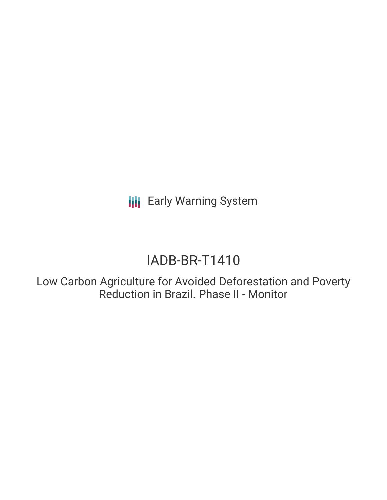**III** Early Warning System

# IADB-BR-T1410

Low Carbon Agriculture for Avoided Deforestation and Poverty Reduction in Brazil. Phase II - Monitor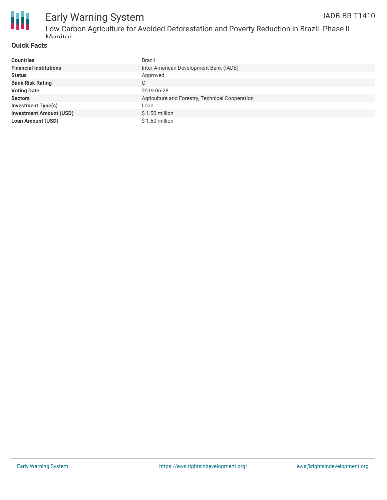

#### **Quick Facts**

| <b>Countries</b>               | <b>Brazil</b>                                   |
|--------------------------------|-------------------------------------------------|
| <b>Financial Institutions</b>  | Inter-American Development Bank (IADB)          |
| <b>Status</b>                  | Approved                                        |
| <b>Bank Risk Rating</b>        | C                                               |
| <b>Voting Date</b>             | 2019-06-28                                      |
| <b>Sectors</b>                 | Agriculture and Forestry, Technical Cooperation |
| <b>Investment Type(s)</b>      | Loan                                            |
| <b>Investment Amount (USD)</b> | $$1.50$ million                                 |
| Loan Amount (USD)              | \$1.50 million                                  |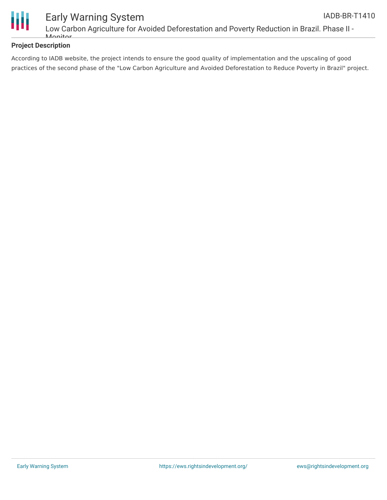

# **Project Description**

According to IADB website, the project intends to ensure the good quality of implementation and the upscaling of good practices of the second phase of the "Low Carbon Agriculture and Avoided Deforestation to Reduce Poverty in Brazil" project.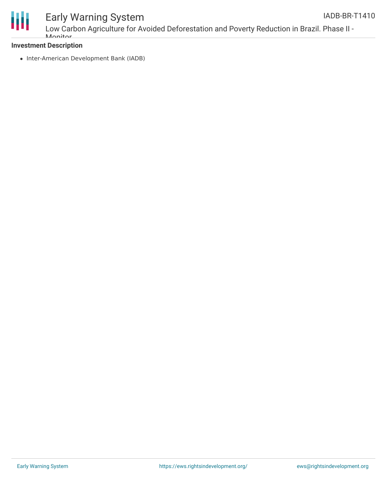

Low Carbon Agriculture for Avoided Deforestation and Poverty Reduction in Brazil. Phase II - **Monitor** 

### **Investment Description**

• Inter-American Development Bank (IADB)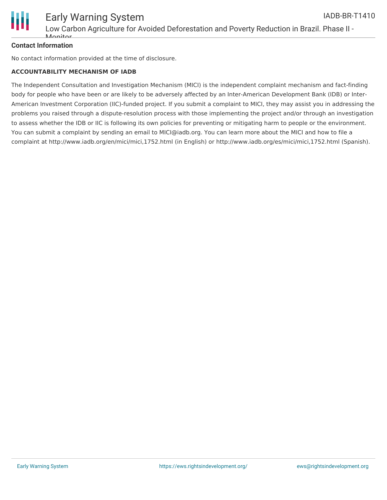

## **Contact Information**

No contact information provided at the time of disclosure.

#### **ACCOUNTABILITY MECHANISM OF IADB**

The Independent Consultation and Investigation Mechanism (MICI) is the independent complaint mechanism and fact-finding body for people who have been or are likely to be adversely affected by an Inter-American Development Bank (IDB) or Inter-American Investment Corporation (IIC)-funded project. If you submit a complaint to MICI, they may assist you in addressing the problems you raised through a dispute-resolution process with those implementing the project and/or through an investigation to assess whether the IDB or IIC is following its own policies for preventing or mitigating harm to people or the environment. You can submit a complaint by sending an email to MICI@iadb.org. You can learn more about the MICI and how to file a complaint at http://www.iadb.org/en/mici/mici,1752.html (in English) or http://www.iadb.org/es/mici/mici,1752.html (Spanish).